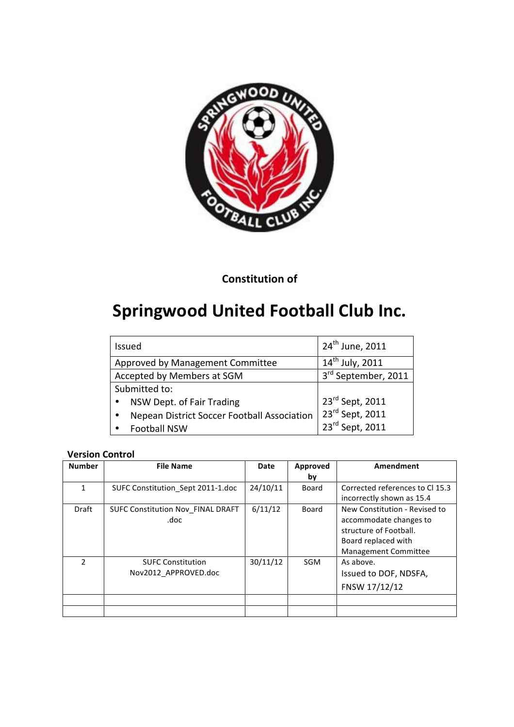

## **Constitution of**

# **Springwood United Football Club Inc.**

| <b>Issued</b>                               | 24 <sup>th</sup> June, 2011 |
|---------------------------------------------|-----------------------------|
| Approved by Management Committee            | $14^{th}$ July, 2011        |
| Accepted by Members at SGM                  | 3rd September, 2011         |
| Submitted to:                               |                             |
| NSW Dept. of Fair Trading                   | 23rd Sept, 2011             |
| Nepean District Soccer Football Association | $23^{\text{rd}}$ Sept, 2011 |
| <b>Football NSW</b>                         | 23rd Sept, 2011             |

## **Version Control**

| <b>Number</b> | <b>File Name</b>                         | Date     | Approved   | Amendment                       |
|---------------|------------------------------------------|----------|------------|---------------------------------|
|               |                                          |          | by         |                                 |
| 1             | SUFC Constitution Sept 2011-1.doc        | 24/10/11 | Board      | Corrected references to Cl 15.3 |
|               |                                          |          |            | incorrectly shown as 15.4       |
| Draft         | <b>SUFC Constitution Nov FINAL DRAFT</b> | 6/11/12  | Board      | New Constitution - Revised to   |
|               | .doc                                     |          |            | accommodate changes to          |
|               |                                          |          |            | structure of Football.          |
|               |                                          |          |            | Board replaced with             |
|               |                                          |          |            | <b>Management Committee</b>     |
| $\mathcal{P}$ | <b>SUFC Constitution</b>                 | 30/11/12 | <b>SGM</b> | As above.                       |
|               | Nov2012 APPROVED.doc                     |          |            | Issued to DOF, NDSFA,           |
|               |                                          |          |            | FNSW 17/12/12                   |
|               |                                          |          |            |                                 |
|               |                                          |          |            |                                 |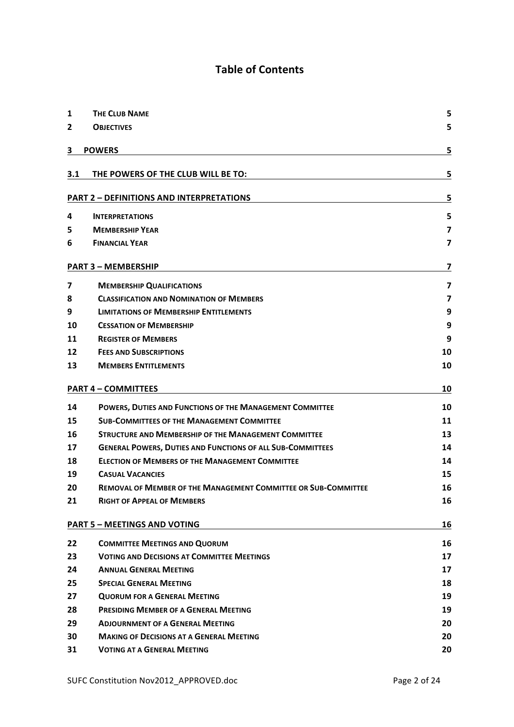## **Table of Contents**

| 1                                         | <b>THE CLUB NAME</b>                                                  | 5                       |  |
|-------------------------------------------|-----------------------------------------------------------------------|-------------------------|--|
| $\overline{2}$                            | <b>OBJECTIVES</b>                                                     | 5                       |  |
|                                           |                                                                       |                         |  |
| 3                                         | <b>POWERS</b>                                                         | 5                       |  |
|                                           |                                                                       |                         |  |
| 3.1                                       | THE POWERS OF THE CLUB WILL BE TO:                                    | 5                       |  |
|                                           | <b>PART 2 - DEFINITIONS AND INTERPRETATIONS</b>                       | 5                       |  |
| 4                                         | <b>INTERPRETATIONS</b>                                                | 5                       |  |
| 5                                         | <b>MEMBERSHIP YEAR</b>                                                | $\overline{\mathbf{z}}$ |  |
| 6                                         | <b>FINANCIAL YEAR</b>                                                 | $\overline{\mathbf{z}}$ |  |
|                                           |                                                                       |                         |  |
|                                           | <b>PART 3 - MEMBERSHIP</b>                                            | 7                       |  |
| 7                                         | <b>MEMBERSHIP QUALIFICATIONS</b>                                      | 7                       |  |
| 8                                         | <b>CLASSIFICATION AND NOMINATION OF MEMBERS</b>                       | $\overline{\mathbf{z}}$ |  |
| 9                                         | <b>LIMITATIONS OF MEMBERSHIP ENTITLEMENTS</b>                         | 9                       |  |
| 10                                        | <b>CESSATION OF MEMBERSHIP</b>                                        | 9                       |  |
| 11                                        | <b>REGISTER OF MEMBERS</b>                                            | 9                       |  |
| 12                                        | <b>FEES AND SUBSCRIPTIONS</b>                                         | 10                      |  |
| 13                                        | <b>MEMBERS ENTITLEMENTS</b>                                           | 10                      |  |
|                                           | <b>PART 4 - COMMITTEES</b>                                            | 10                      |  |
| 14                                        | POWERS, DUTIES AND FUNCTIONS OF THE MANAGEMENT COMMITTEE              | 10                      |  |
| 15                                        | <b>SUB-COMMITTEES OF THE MANAGEMENT COMMITTEE</b>                     | 11                      |  |
| 16                                        | <b>STRUCTURE AND MEMBERSHIP OF THE MANAGEMENT COMMITTEE</b>           | 13                      |  |
| 17                                        | <b>GENERAL POWERS, DUTIES AND FUNCTIONS OF ALL SUB-COMMITTEES</b>     | 14                      |  |
| 18                                        | <b>ELECTION OF MEMBERS OF THE MANAGEMENT COMMITTEE</b>                | 14                      |  |
| 19                                        | <b>CASUAL VACANCIES</b>                                               | 15                      |  |
| 20                                        | <b>REMOVAL OF MEMBER OF THE MANAGEMENT COMMITTEE OR SUB-COMMITTEE</b> | 16                      |  |
| 21                                        | <b>RIGHT OF APPEAL OF MEMBERS</b>                                     | 16                      |  |
| <b>PART 5 - MEETINGS AND VOTING</b><br>16 |                                                                       |                         |  |
| 22                                        | <b>COMMITTEE MEETINGS AND QUORUM</b>                                  | 16                      |  |
| 23                                        | <b>VOTING AND DECISIONS AT COMMITTEE MEETINGS</b>                     | 17                      |  |
| 24                                        | <b>ANNUAL GENERAL MEETING</b>                                         | 17                      |  |
| 25                                        | <b>SPECIAL GENERAL MEETING</b>                                        | 18                      |  |
| 27                                        | <b>QUORUM FOR A GENERAL MEETING</b>                                   | 19                      |  |
| 28                                        | PRESIDING MEMBER OF A GENERAL MEETING                                 | 19                      |  |
| 29                                        | <b>ADJOURNMENT OF A GENERAL MEETING</b>                               | 20                      |  |
| 30                                        | <b>MAKING OF DECISIONS AT A GENERAL MEETING</b>                       | 20                      |  |
| 31                                        | <b>VOTING AT A GENERAL MEETING</b>                                    | 20                      |  |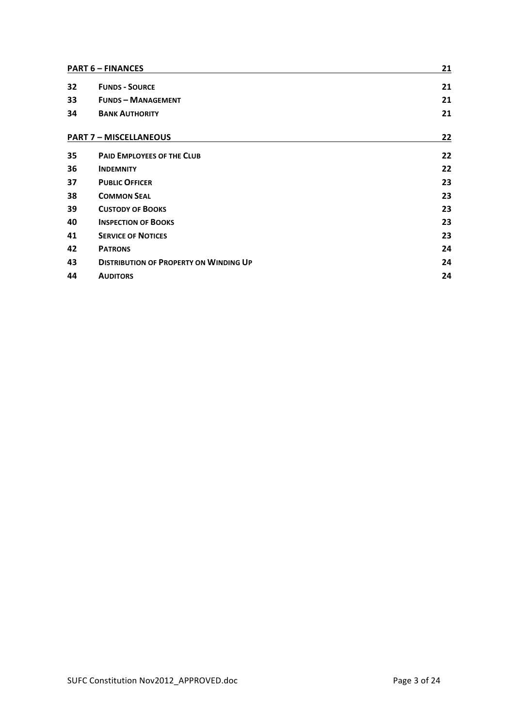| <b>PART 6 - FINANCES</b> |                                               | 21 |
|--------------------------|-----------------------------------------------|----|
| 32                       | <b>FUNDS - SOURCE</b>                         | 21 |
| 33                       | <b>FUNDS - MANAGEMENT</b>                     | 21 |
| 34                       | <b>BANK AUTHORITY</b>                         | 21 |
|                          | <b>PART 7 - MISCELLANEOUS</b>                 | 22 |
| 35                       | <b>PAID EMPLOYEES OF THE CLUB</b>             | 22 |
| 36                       | <b>INDEMNITY</b>                              | 22 |
| 37                       | <b>PUBLIC OFFICER</b>                         | 23 |
| 38                       | <b>COMMON SEAL</b>                            | 23 |
| 39                       | <b>CUSTODY OF BOOKS</b>                       | 23 |
| 40                       | <b>INSPECTION OF BOOKS</b>                    | 23 |
| 41                       | <b>SERVICE OF NOTICES</b>                     | 23 |
| 42                       | <b>PATRONS</b>                                | 24 |
| 43                       | <b>DISTRIBUTION OF PROPERTY ON WINDING UP</b> | 24 |
| 44                       | <b>AUDITORS</b>                               | 24 |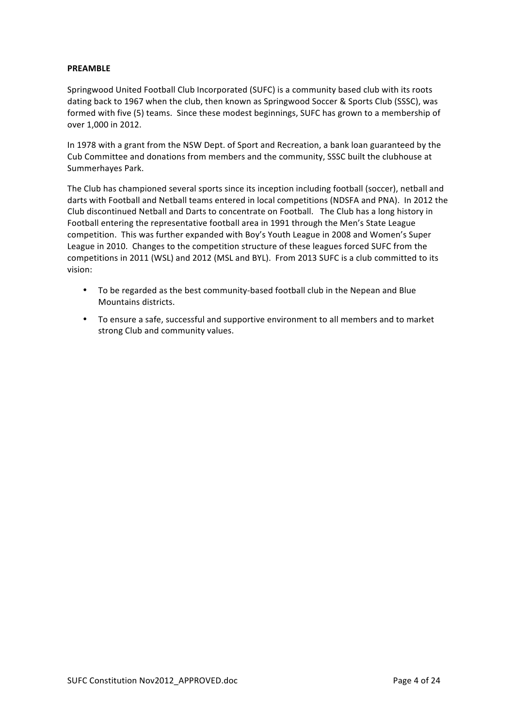#### **PREAMBLE**

Springwood United Football Club Incorporated (SUFC) is a community based club with its roots dating back to 1967 when the club, then known as Springwood Soccer & Sports Club (SSSC), was formed with five (5) teams. Since these modest beginnings, SUFC has grown to a membership of over 1,000 in 2012.

In 1978 with a grant from the NSW Dept. of Sport and Recreation, a bank loan guaranteed by the Cub Committee and donations from members and the community, SSSC built the clubhouse at Summerhayes Park.

The Club has championed several sports since its inception including football (soccer), netball and darts with Football and Netball teams entered in local competitions (NDSFA and PNA). In 2012 the Club discontinued Netball and Darts to concentrate on Football. The Club has a long history in Football entering the representative football area in 1991 through the Men's State League competition. This was further expanded with Boy's Youth League in 2008 and Women's Super League in 2010. Changes to the competition structure of these leagues forced SUFC from the competitions in 2011 (WSL) and 2012 (MSL and BYL). From 2013 SUFC is a club committed to its vision:

- To be regarded as the best community-based football club in the Nepean and Blue Mountains districts.
- To ensure a safe, successful and supportive environment to all members and to market strong Club and community values.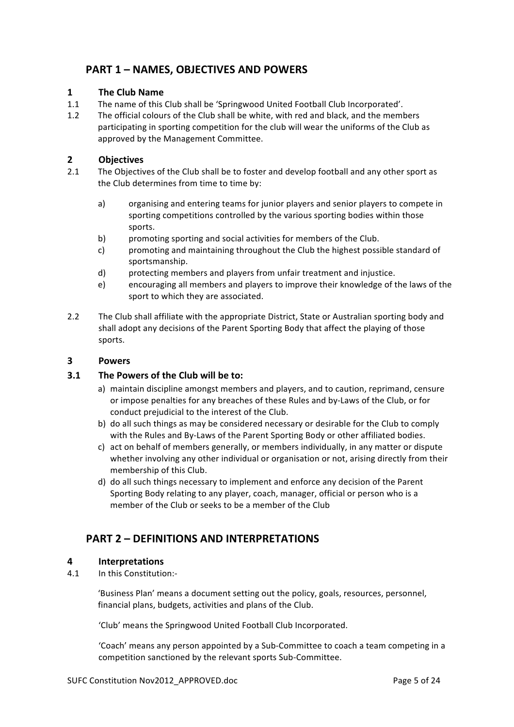## **PART 1 - NAMES, OBJECTIVES AND POWERS**

## **1 The Club Name**

- 1.1 The name of this Club shall be 'Springwood United Football Club Incorporated'.
- 1.2 The official colours of the Club shall be white, with red and black, and the members participating in sporting competition for the club will wear the uniforms of the Club as approved by the Management Committee.

## **2 Objectives**

- 2.1 The Objectives of the Club shall be to foster and develop football and any other sport as the Club determines from time to time by:
	- a) organising and entering teams for junior players and senior players to compete in sporting competitions controlled by the various sporting bodies within those sports.
	- b) promoting sporting and social activities for members of the Club.
	- c) promoting and maintaining throughout the Club the highest possible standard of sportsmanship.
	- d) protecting members and players from unfair treatment and injustice.
	- e) encouraging all members and players to improve their knowledge of the laws of the sport to which they are associated.
- 2.2 The Club shall affiliate with the appropriate District, State or Australian sporting body and shall adopt any decisions of the Parent Sporting Body that affect the playing of those sports.

## **3 Powers**

## **3.1 The Powers of the Club will be to:**

- a) maintain discipline amongst members and players, and to caution, reprimand, censure or impose penalties for any breaches of these Rules and by-Laws of the Club, or for conduct prejudicial to the interest of the Club.
- b) do all such things as may be considered necessary or desirable for the Club to comply with the Rules and By-Laws of the Parent Sporting Body or other affiliated bodies.
- c) act on behalf of members generally, or members individually, in any matter or dispute whether involving any other individual or organisation or not, arising directly from their membership of this Club.
- d) do all such things necessary to implement and enforce any decision of the Parent Sporting Body relating to any player, coach, manager, official or person who is a member of the Club or seeks to be a member of the Club

## **PART 2 – DEFINITIONS AND INTERPRETATIONS**

## **4 Interpretations**

4.1 In this Constitution:-

'Business Plan' means a document setting out the policy, goals, resources, personnel, financial plans, budgets, activities and plans of the Club.

'Club' means the Springwood United Football Club Incorporated.

'Coach' means any person appointed by a Sub-Committee to coach a team competing in a competition sanctioned by the relevant sports Sub-Committee.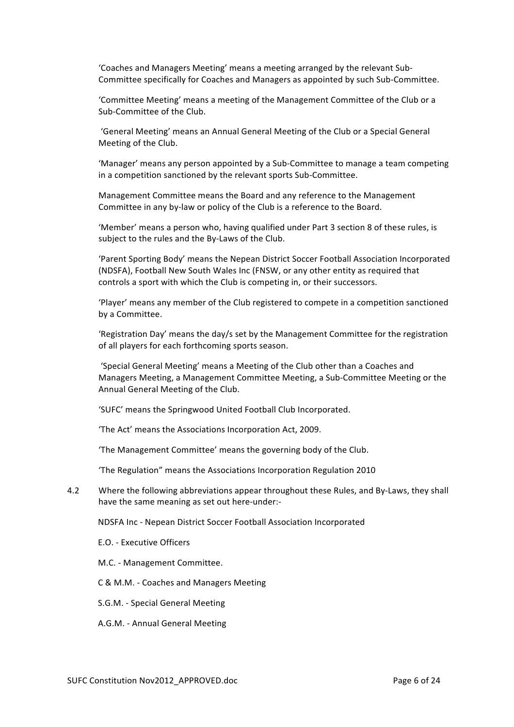'Coaches and Managers Meeting' means a meeting arranged by the relevant Sub-Committee specifically for Coaches and Managers as appointed by such Sub-Committee.

'Committee Meeting' means a meeting of the Management Committee of the Club or a Sub-Committee of the Club.

'General Meeting' means an Annual General Meeting of the Club or a Special General Meeting of the Club.

'Manager' means any person appointed by a Sub-Committee to manage a team competing in a competition sanctioned by the relevant sports Sub-Committee.

Management Committee means the Board and any reference to the Management Committee in any by-law or policy of the Club is a reference to the Board.

'Member' means a person who, having qualified under Part 3 section 8 of these rules, is subject to the rules and the By-Laws of the Club.

'Parent Sporting Body' means the Nepean District Soccer Football Association Incorporated (NDSFA), Football New South Wales Inc (FNSW, or any other entity as required that controls a sport with which the Club is competing in, or their successors.

'Player' means any member of the Club registered to compete in a competition sanctioned by a Committee.

'Registration Day' means the day/s set by the Management Committee for the registration of all players for each forthcoming sports season.

'Special General Meeting' means a Meeting of the Club other than a Coaches and Managers Meeting, a Management Committee Meeting, a Sub-Committee Meeting or the Annual General Meeting of the Club.

'SUFC' means the Springwood United Football Club Incorporated.

'The Act' means the Associations Incorporation Act, 2009.

'The Management Committee' means the governing body of the Club.

'The Regulation" means the Associations Incorporation Regulation 2010

4.2 Where the following abbreviations appear throughout these Rules, and By-Laws, they shall have the same meaning as set out here-under:-

NDSFA Inc - Nepean District Soccer Football Association Incorporated

E.O. - Executive Officers

M.C. - Management Committee.

C & M.M. - Coaches and Managers Meeting

S.G.M. - Special General Meeting

A.G.M. - Annual General Meeting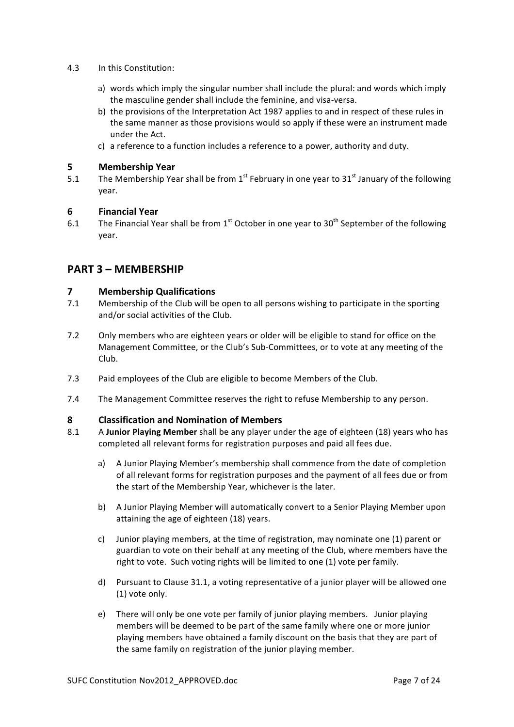- 4.3 In this Constitution:
	- a) words which imply the singular number shall include the plural: and words which imply the masculine gender shall include the feminine, and visa-versa.
	- b) the provisions of the Interpretation Act 1987 applies to and in respect of these rules in the same manner as those provisions would so apply if these were an instrument made under the Act.
	- c) a reference to a function includes a reference to a power, authority and duty.

## **5 Membership Year**

5.1 The Membership Year shall be from  $1^{st}$  February in one vear to 31 $^{st}$  January of the following year.

## **6 Financial Year**

6.1 The Financial Year shall be from 1<sup>st</sup> October in one year to 30<sup>th</sup> September of the following year.

## **PART 3 – MEMBERSHIP**

## **7 Membership Qualifications**

- 7.1 Membership of the Club will be open to all persons wishing to participate in the sporting and/or social activities of the Club.
- 7.2 Only members who are eighteen years or older will be eligible to stand for office on the Management Committee, or the Club's Sub-Committees, or to vote at any meeting of the Club.
- 7.3 Paid employees of the Club are eligible to become Members of the Club.
- 7.4 The Management Committee reserves the right to refuse Membership to any person.

## **8 Classification and Nomination of Members**

- 8.1 A Junior Playing Member shall be any player under the age of eighteen (18) years who has completed all relevant forms for registration purposes and paid all fees due.
	- a) A Junior Playing Member's membership shall commence from the date of completion of all relevant forms for registration purposes and the payment of all fees due or from the start of the Membership Year, whichever is the later.
	- b) A Junior Playing Member will automatically convert to a Senior Playing Member upon attaining the age of eighteen (18) years.
	- c) Junior playing members, at the time of registration, may nominate one (1) parent or guardian to vote on their behalf at any meeting of the Club, where members have the right to vote. Such voting rights will be limited to one (1) vote per family.
	- d) Pursuant to Clause 31.1, a voting representative of a junior player will be allowed one (1) vote only.
	- e) There will only be one vote per family of junior playing members. Junior playing members will be deemed to be part of the same family where one or more junior playing members have obtained a family discount on the basis that they are part of the same family on registration of the junior playing member.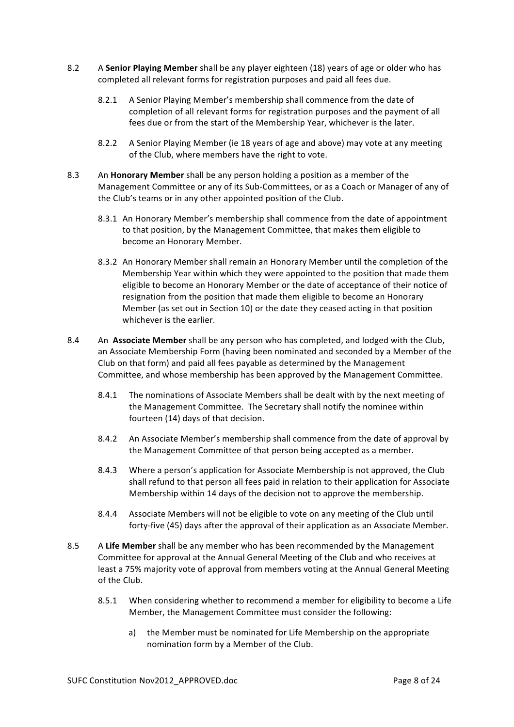- 8.2 A **Senior Playing Member** shall be any player eighteen (18) years of age or older who has completed all relevant forms for registration purposes and paid all fees due.
	- 8.2.1 A Senior Playing Member's membership shall commence from the date of completion of all relevant forms for registration purposes and the payment of all fees due or from the start of the Membership Year, whichever is the later.
	- 8.2.2 A Senior Playing Member (ie 18 years of age and above) may vote at any meeting of the Club, where members have the right to vote.
- 8.3 An **Honorary Member** shall be any person holding a position as a member of the Management Committee or any of its Sub-Committees, or as a Coach or Manager of any of the Club's teams or in any other appointed position of the Club.
	- 8.3.1 An Honorary Member's membership shall commence from the date of appointment to that position, by the Management Committee, that makes them eligible to become an Honorary Member.
	- 8.3.2 An Honorary Member shall remain an Honorary Member until the completion of the Membership Year within which they were appointed to the position that made them eligible to become an Honorary Member or the date of acceptance of their notice of resignation from the position that made them eligible to become an Honorary Member (as set out in Section 10) or the date they ceased acting in that position whichever is the earlier.
- 8.4 An **Associate Member** shall be any person who has completed, and lodged with the Club, an Associate Membership Form (having been nominated and seconded by a Member of the Club on that form) and paid all fees payable as determined by the Management Committee, and whose membership has been approved by the Management Committee.
	- 8.4.1 The nominations of Associate Members shall be dealt with by the next meeting of the Management Committee. The Secretary shall notify the nominee within fourteen (14) days of that decision.
	- 8.4.2 An Associate Member's membership shall commence from the date of approval by the Management Committee of that person being accepted as a member.
	- 8.4.3 Where a person's application for Associate Membership is not approved, the Club shall refund to that person all fees paid in relation to their application for Associate Membership within 14 days of the decision not to approve the membership.
	- 8.4.4 Associate Members will not be eligible to vote on any meeting of the Club until forty-five (45) days after the approval of their application as an Associate Member.
- 8.5 A Life Member shall be any member who has been recommended by the Management Committee for approval at the Annual General Meeting of the Club and who receives at least a 75% majority vote of approval from members voting at the Annual General Meeting of the Club.
	- 8.5.1 When considering whether to recommend a member for eligibility to become a Life Member, the Management Committee must consider the following:
		- a) the Member must be nominated for Life Membership on the appropriate nomination form by a Member of the Club.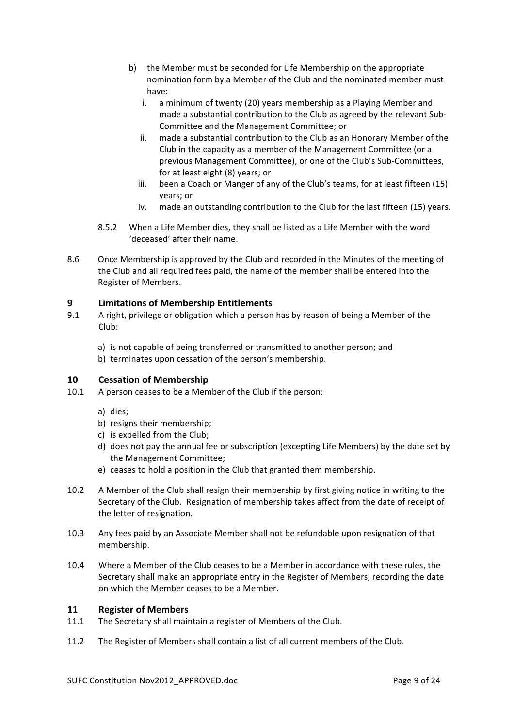- b) the Member must be seconded for Life Membership on the appropriate nomination form by a Member of the Club and the nominated member must have:
	- i. a minimum of twenty (20) years membership as a Playing Member and made a substantial contribution to the Club as agreed by the relevant Sub-Committee and the Management Committee: or
	- ii. made a substantial contribution to the Club as an Honorary Member of the Club in the capacity as a member of the Management Committee (or a previous Management Committee), or one of the Club's Sub-Committees, for at least eight (8) years; or
	- iii. been a Coach or Manger of any of the Club's teams, for at least fifteen (15) years; or
	- iv. made an outstanding contribution to the Club for the last fifteen (15) years.
- 8.5.2 When a Life Member dies, they shall be listed as a Life Member with the word 'deceased' after their name.
- 8.6 Once Membership is approved by the Club and recorded in the Minutes of the meeting of the Club and all required fees paid, the name of the member shall be entered into the Register of Members.

## **9 Limitations of Membership Entitlements**

- 9.1 A right, privilege or obligation which a person has by reason of being a Member of the Club:
	- a) is not capable of being transferred or transmitted to another person; and
	- b) terminates upon cessation of the person's membership.

## **10 Cessation of Membership**

- 10.1 A person ceases to be a Member of the Club if the person:
	- a) dies;
	- b) resigns their membership;
	- c) is expelled from the Club;
	- d) does not pay the annual fee or subscription (excepting Life Members) by the date set by the Management Committee;
	- e) ceases to hold a position in the Club that granted them membership.
- 10.2 A Member of the Club shall resign their membership by first giving notice in writing to the Secretary of the Club. Resignation of membership takes affect from the date of receipt of the letter of resignation.
- 10.3 Any fees paid by an Associate Member shall not be refundable upon resignation of that membership.
- 10.4 Where a Member of the Club ceases to be a Member in accordance with these rules, the Secretary shall make an appropriate entry in the Register of Members, recording the date on which the Member ceases to be a Member.

## **11 Register of Members**

- 11.1 The Secretary shall maintain a register of Members of the Club.
- 11.2 The Register of Members shall contain a list of all current members of the Club.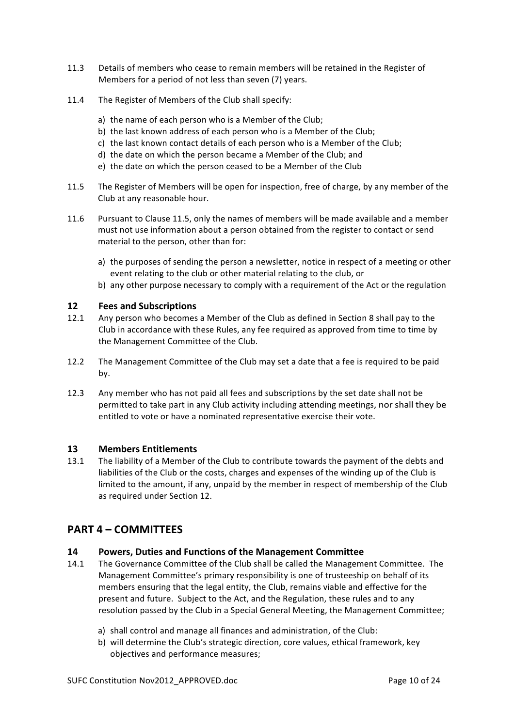- 11.3 Details of members who cease to remain members will be retained in the Register of Members for a period of not less than seven (7) years.
- 11.4 The Register of Members of the Club shall specify:
	- a) the name of each person who is a Member of the Club;
	- b) the last known address of each person who is a Member of the Club;
	- c) the last known contact details of each person who is a Member of the Club;
	- d) the date on which the person became a Member of the Club; and
	- e) the date on which the person ceased to be a Member of the Club
- 11.5 The Register of Members will be open for inspection, free of charge, by any member of the Club at any reasonable hour.
- 11.6 Pursuant to Clause 11.5, only the names of members will be made available and a member must not use information about a person obtained from the register to contact or send material to the person, other than for:
	- a) the purposes of sending the person a newsletter, notice in respect of a meeting or other event relating to the club or other material relating to the club, or
	- b) any other purpose necessary to comply with a requirement of the Act or the regulation

## **12 Fees and Subscriptions**

- 12.1 Any person who becomes a Member of the Club as defined in Section 8 shall pay to the Club in accordance with these Rules, any fee required as approved from time to time by the Management Committee of the Club.
- 12.2 The Management Committee of the Club may set a date that a fee is required to be paid by.
- 12.3 Any member who has not paid all fees and subscriptions by the set date shall not be permitted to take part in any Club activity including attending meetings, nor shall they be entitled to vote or have a nominated representative exercise their vote.

## **13 Members Entitlements**

13.1 The liability of a Member of the Club to contribute towards the payment of the debts and liabilities of the Club or the costs, charges and expenses of the winding up of the Club is limited to the amount, if any, unpaid by the member in respect of membership of the Club as required under Section 12.

## **PART 4 – COMMITTEES**

## **14 Powers, Duties and Functions of the Management Committee**

- 14.1 The Governance Committee of the Club shall be called the Management Committee. The Management Committee's primary responsibility is one of trusteeship on behalf of its members ensuring that the legal entity, the Club, remains viable and effective for the present and future. Subject to the Act, and the Regulation, these rules and to any resolution passed by the Club in a Special General Meeting, the Management Committee;
	- a) shall control and manage all finances and administration, of the Club:
	- b) will determine the Club's strategic direction, core values, ethical framework, key objectives and performance measures;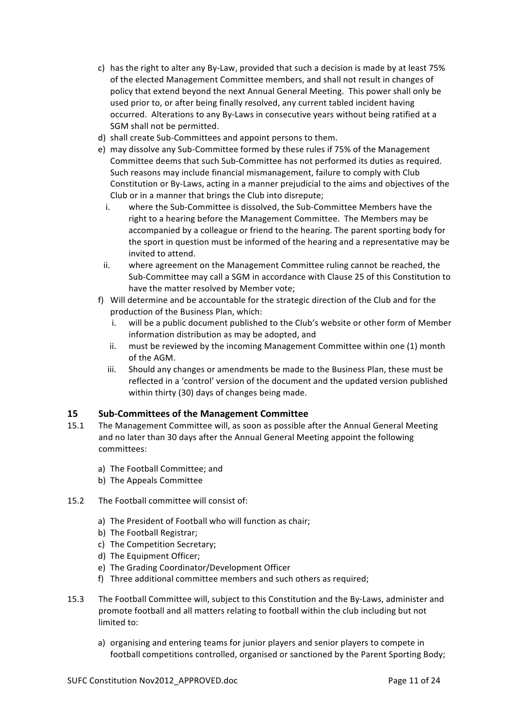- c) has the right to alter any By-Law, provided that such a decision is made by at least 75% of the elected Management Committee members, and shall not result in changes of policy that extend beyond the next Annual General Meeting. This power shall only be used prior to, or after being finally resolved, any current tabled incident having occurred. Alterations to any By-Laws in consecutive years without being ratified at a SGM shall not be permitted.
- d) shall create Sub-Committees and appoint persons to them.
- e) may dissolve any Sub-Committee formed by these rules if 75% of the Management Committee deems that such Sub-Committee has not performed its duties as required. Such reasons may include financial mismanagement, failure to comply with Club Constitution or By-Laws, acting in a manner prejudicial to the aims and objectives of the Club or in a manner that brings the Club into disrepute;
	- i. where the Sub-Committee is dissolved, the Sub-Committee Members have the right to a hearing before the Management Committee. The Members may be accompanied by a colleague or friend to the hearing. The parent sporting body for the sport in question must be informed of the hearing and a representative may be invited to attend.
	- ii. where agreement on the Management Committee ruling cannot be reached, the Sub-Committee may call a SGM in accordance with Clause 25 of this Constitution to have the matter resolved by Member vote;
- f) Will determine and be accountable for the strategic direction of the Club and for the production of the Business Plan, which:
	- i. will be a public document published to the Club's website or other form of Member information distribution as may be adopted, and
	- ii. must be reviewed by the incoming Management Committee within one (1) month of the AGM.
	- iii. Should any changes or amendments be made to the Business Plan, these must be reflected in a 'control' version of the document and the updated version published within thirty (30) days of changes being made.

## **15 Sub-Committees of the Management Committee**

- 15.1 The Management Committee will, as soon as possible after the Annual General Meeting and no later than 30 days after the Annual General Meeting appoint the following committees:
	- a) The Football Committee; and
	- b) The Appeals Committee
- 15.2 The Football committee will consist of:
	- a) The President of Football who will function as chair;
	- b) The Football Registrar;
	- c) The Competition Secretary:
	- d) The Equipment Officer;
	- e) The Grading Coordinator/Development Officer
	- f) Three additional committee members and such others as required;
- 15.3 The Football Committee will, subject to this Constitution and the By-Laws, administer and promote football and all matters relating to football within the club including but not limited to:
	- a) organising and entering teams for junior players and senior players to compete in football competitions controlled, organised or sanctioned by the Parent Sporting Body;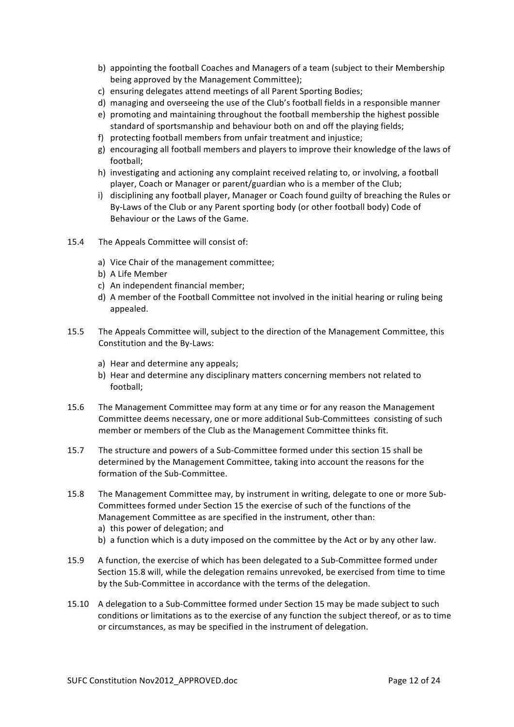- b) appointing the football Coaches and Managers of a team (subject to their Membership being approved by the Management Committee);
- c) ensuring delegates attend meetings of all Parent Sporting Bodies;
- d) managing and overseeing the use of the Club's football fields in a responsible manner
- e) promoting and maintaining throughout the football membership the highest possible standard of sportsmanship and behaviour both on and off the playing fields;
- f) protecting football members from unfair treatment and injustice;
- g) encouraging all football members and players to improve their knowledge of the laws of football;
- h) investigating and actioning any complaint received relating to, or involving, a football player, Coach or Manager or parent/guardian who is a member of the Club;
- i) disciplining any football player, Manager or Coach found guilty of breaching the Rules or By-Laws of the Club or any Parent sporting body (or other football body) Code of Behaviour or the Laws of the Game.
- 15.4 The Appeals Committee will consist of:
	- a) Vice Chair of the management committee;
	- b) A Life Member
	- c) An independent financial member;
	- d) A member of the Football Committee not involved in the initial hearing or ruling being appealed.
- 15.5 The Appeals Committee will, subject to the direction of the Management Committee, this Constitution and the By-Laws:
	- a) Hear and determine any appeals;
	- b) Hear and determine any disciplinary matters concerning members not related to football;
- 15.6 The Management Committee may form at any time or for any reason the Management Committee deems necessary, one or more additional Sub-Committees consisting of such member or members of the Club as the Management Committee thinks fit.
- 15.7 The structure and powers of a Sub-Committee formed under this section 15 shall be determined by the Management Committee, taking into account the reasons for the formation of the Sub-Committee.
- 15.8 The Management Committee may, by instrument in writing, delegate to one or more Sub-Committees formed under Section 15 the exercise of such of the functions of the Management Committee as are specified in the instrument, other than: a) this power of delegation; and
	- b) a function which is a duty imposed on the committee by the Act or by any other law.
- 15.9 A function, the exercise of which has been delegated to a Sub-Committee formed under Section 15.8 will, while the delegation remains unrevoked, be exercised from time to time by the Sub-Committee in accordance with the terms of the delegation.
- 15.10 A delegation to a Sub-Committee formed under Section 15 may be made subject to such conditions or limitations as to the exercise of any function the subject thereof, or as to time or circumstances, as may be specified in the instrument of delegation.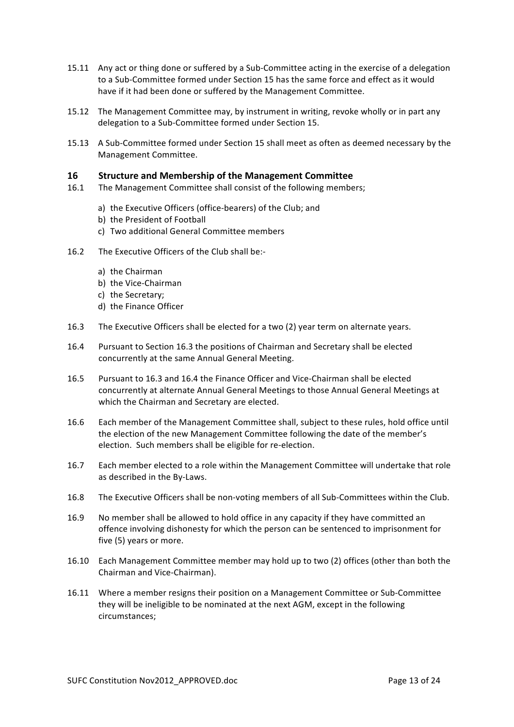- 15.11 Any act or thing done or suffered by a Sub-Committee acting in the exercise of a delegation to a Sub-Committee formed under Section 15 has the same force and effect as it would have if it had been done or suffered by the Management Committee.
- 15.12 The Management Committee may, by instrument in writing, revoke wholly or in part any delegation to a Sub-Committee formed under Section 15.
- 15.13 A Sub-Committee formed under Section 15 shall meet as often as deemed necessary by the Management Committee.

#### **16 Structure and Membership of the Management Committee**

- 16.1 The Management Committee shall consist of the following members;
	- a) the Executive Officers (office-bearers) of the Club; and
	- b) the President of Football
	- c) Two additional General Committee members
- 16.2 The Executive Officers of the Club shall be:
	- a) the Chairman
	- b) the Vice-Chairman
	- c) the Secretary;
	- d) the Finance Officer
- 16.3 The Executive Officers shall be elected for a two (2) year term on alternate vears.
- 16.4 Pursuant to Section 16.3 the positions of Chairman and Secretary shall be elected concurrently at the same Annual General Meeting.
- 16.5 Pursuant to 16.3 and 16.4 the Finance Officer and Vice-Chairman shall be elected concurrently at alternate Annual General Meetings to those Annual General Meetings at which the Chairman and Secretary are elected.
- 16.6 Each member of the Management Committee shall, subject to these rules, hold office until the election of the new Management Committee following the date of the member's election. Such members shall be eligible for re-election.
- 16.7 Each member elected to a role within the Management Committee will undertake that role as described in the By-Laws.
- 16.8 The Executive Officers shall be non-voting members of all Sub-Committees within the Club.
- 16.9 No member shall be allowed to hold office in any capacity if they have committed an offence involving dishonesty for which the person can be sentenced to imprisonment for five (5) years or more.
- 16.10 Each Management Committee member may hold up to two (2) offices (other than both the Chairman and Vice-Chairman).
- 16.11 Where a member resigns their position on a Management Committee or Sub-Committee they will be ineligible to be nominated at the next AGM, except in the following circumstances;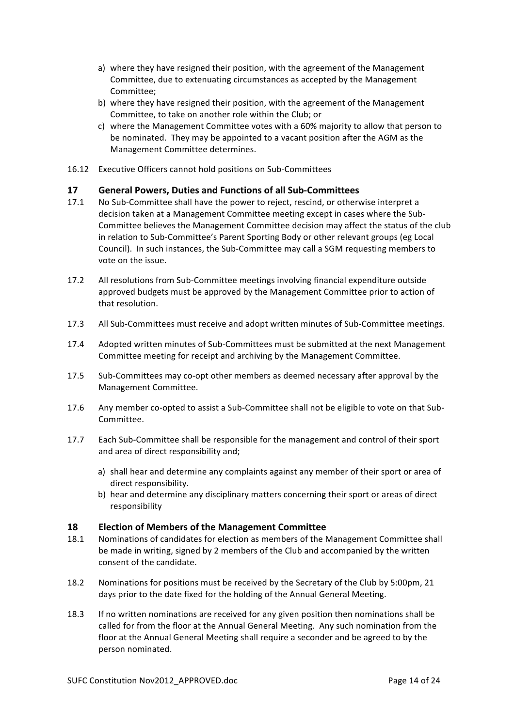- a) where they have resigned their position, with the agreement of the Management Committee, due to extenuating circumstances as accepted by the Management Committee;
- b) where they have resigned their position, with the agreement of the Management Committee, to take on another role within the Club; or
- c) where the Management Committee votes with a 60% majority to allow that person to be nominated. They may be appointed to a vacant position after the AGM as the Management Committee determines.
- 16.12 Executive Officers cannot hold positions on Sub-Committees

## **17 General Powers, Duties and Functions of all Sub-Committees**

- 17.1 No Sub-Committee shall have the power to reject, rescind, or otherwise interpret a decision taken at a Management Committee meeting except in cases where the Sub-Committee believes the Management Committee decision may affect the status of the club in relation to Sub-Committee's Parent Sporting Body or other relevant groups (eg Local Council). In such instances, the Sub-Committee may call a SGM requesting members to vote on the issue.
- 17.2 All resolutions from Sub-Committee meetings involving financial expenditure outside approved budgets must be approved by the Management Committee prior to action of that resolution.
- 17.3 All Sub-Committees must receive and adopt written minutes of Sub-Committee meetings.
- 17.4 Adopted written minutes of Sub-Committees must be submitted at the next Management Committee meeting for receipt and archiving by the Management Committee.
- 17.5 Sub-Committees may co-opt other members as deemed necessary after approval by the Management Committee.
- 17.6 Any member co-opted to assist a Sub-Committee shall not be eligible to vote on that Sub-Committee.
- 17.7 Each Sub-Committee shall be responsible for the management and control of their sport and area of direct responsibility and;
	- a) shall hear and determine any complaints against any member of their sport or area of direct responsibility.
	- b) hear and determine any disciplinary matters concerning their sport or areas of direct responsibility

## **18 Election of Members of the Management Committee**

- 18.1 Nominations of candidates for election as members of the Management Committee shall be made in writing, signed by 2 members of the Club and accompanied by the written consent of the candidate.
- 18.2 Nominations for positions must be received by the Secretary of the Club by 5:00pm, 21 days prior to the date fixed for the holding of the Annual General Meeting.
- 18.3 If no written nominations are received for any given position then nominations shall be called for from the floor at the Annual General Meeting. Any such nomination from the floor at the Annual General Meeting shall require a seconder and be agreed to by the person nominated.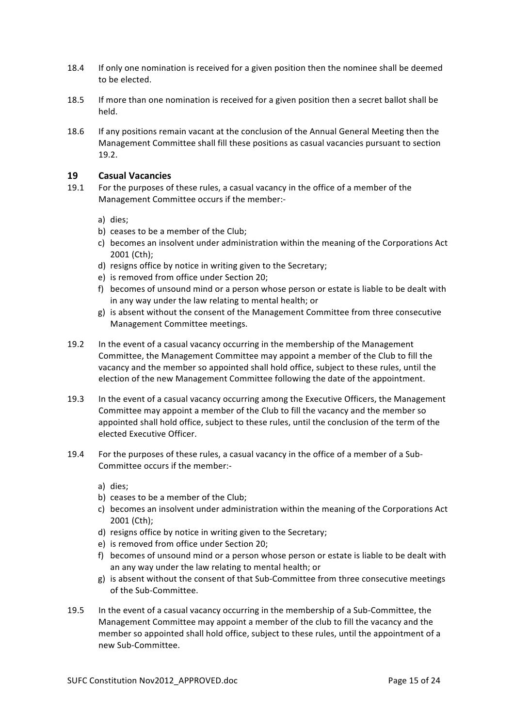- 18.4 If only one nomination is received for a given position then the nominee shall be deemed to be elected.
- 18.5 If more than one nomination is received for a given position then a secret ballot shall be held.
- 18.6 If any positions remain vacant at the conclusion of the Annual General Meeting then the Management Committee shall fill these positions as casual vacancies pursuant to section 19.2.

## **19 Casual Vacancies**

- 19.1 For the purposes of these rules, a casual vacancy in the office of a member of the Management Committee occurs if the member:
	- a) dies;
	- b) ceases to be a member of the Club;
	- c) becomes an insolvent under administration within the meaning of the Corporations Act 2001 (Cth);
	- d) resigns office by notice in writing given to the Secretary;
	- e) is removed from office under Section 20;
	- f) becomes of unsound mind or a person whose person or estate is liable to be dealt with in any way under the law relating to mental health; or
	- g) is absent without the consent of the Management Committee from three consecutive Management Committee meetings.
- 19.2 In the event of a casual vacancy occurring in the membership of the Management Committee, the Management Committee may appoint a member of the Club to fill the vacancy and the member so appointed shall hold office, subject to these rules, until the election of the new Management Committee following the date of the appointment.
- 19.3 In the event of a casual vacancy occurring among the Executive Officers, the Management Committee may appoint a member of the Club to fill the vacancy and the member so appointed shall hold office, subject to these rules, until the conclusion of the term of the elected Executive Officer.
- 19.4 For the purposes of these rules, a casual vacancy in the office of a member of a Sub-Committee occurs if the member:
	- a) dies;
	- b) ceases to be a member of the Club:
	- c) becomes an insolvent under administration within the meaning of the Corporations Act 2001 (Cth);
	- d) resigns office by notice in writing given to the Secretary;
	- e) is removed from office under Section 20;
	- f) becomes of unsound mind or a person whose person or estate is liable to be dealt with an any way under the law relating to mental health; or
	- g) is absent without the consent of that Sub-Committee from three consecutive meetings of the Sub-Committee.
- 19.5 In the event of a casual vacancy occurring in the membership of a Sub-Committee, the Management Committee may appoint a member of the club to fill the vacancy and the member so appointed shall hold office, subject to these rules, until the appointment of a new Sub-Committee.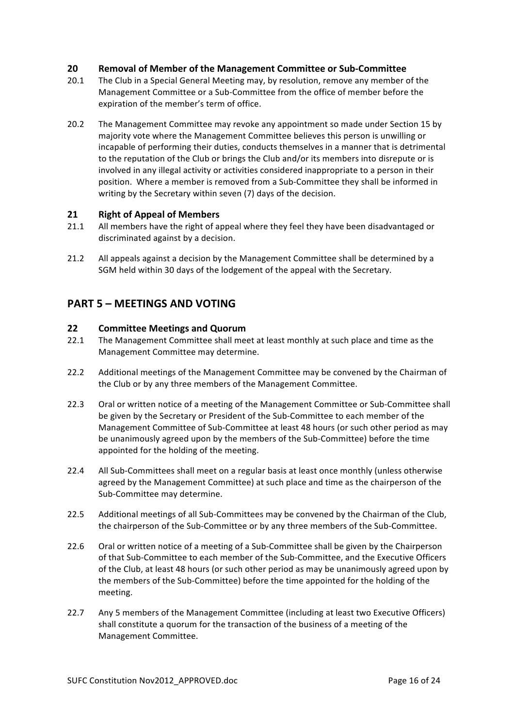## **20 Removal of Member of the Management Committee or Sub-Committee**

- 20.1 The Club in a Special General Meeting may, by resolution, remove any member of the Management Committee or a Sub-Committee from the office of member before the expiration of the member's term of office.
- 20.2 The Management Committee may revoke any appointment so made under Section 15 by majority vote where the Management Committee believes this person is unwilling or incapable of performing their duties, conducts themselves in a manner that is detrimental to the reputation of the Club or brings the Club and/or its members into disrepute or is involved in any illegal activity or activities considered inappropriate to a person in their position. Where a member is removed from a Sub-Committee they shall be informed in writing by the Secretary within seven (7) days of the decision.

## **21** Right of Appeal of Members

- 21.1 All members have the right of appeal where they feel they have been disadvantaged or discriminated against by a decision.
- 21.2 All appeals against a decision by the Management Committee shall be determined by a SGM held within 30 days of the lodgement of the appeal with the Secretary.

## **PART 5 – MEETINGS AND VOTING**

## **22 Committee Meetings and Quorum**

- 22.1 The Management Committee shall meet at least monthly at such place and time as the Management Committee may determine.
- 22.2 Additional meetings of the Management Committee may be convened by the Chairman of the Club or by any three members of the Management Committee.
- 22.3 Oral or written notice of a meeting of the Management Committee or Sub-Committee shall be given by the Secretary or President of the Sub-Committee to each member of the Management Committee of Sub-Committee at least 48 hours (or such other period as may be unanimously agreed upon by the members of the Sub-Committee) before the time appointed for the holding of the meeting.
- 22.4 All Sub-Committees shall meet on a regular basis at least once monthly (unless otherwise agreed by the Management Committee) at such place and time as the chairperson of the Sub-Committee may determine.
- 22.5 Additional meetings of all Sub-Committees may be convened by the Chairman of the Club, the chairperson of the Sub-Committee or by any three members of the Sub-Committee.
- 22.6 Oral or written notice of a meeting of a Sub-Committee shall be given by the Chairperson of that Sub-Committee to each member of the Sub-Committee, and the Executive Officers of the Club, at least 48 hours (or such other period as may be unanimously agreed upon by the members of the Sub-Committee) before the time appointed for the holding of the meeting.
- 22.7 Any 5 members of the Management Committee (including at least two Executive Officers) shall constitute a quorum for the transaction of the business of a meeting of the Management Committee.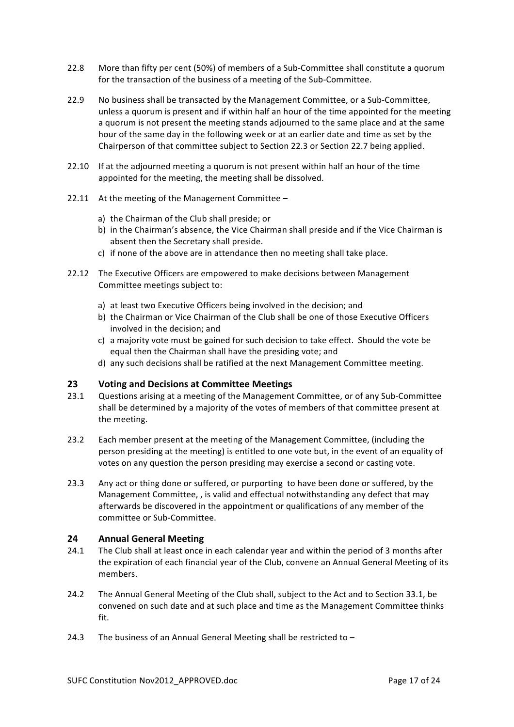- 22.8 More than fifty per cent (50%) of members of a Sub-Committee shall constitute a quorum for the transaction of the business of a meeting of the Sub-Committee.
- 22.9 No business shall be transacted by the Management Committee, or a Sub-Committee, unless a quorum is present and if within half an hour of the time appointed for the meeting a quorum is not present the meeting stands adjourned to the same place and at the same hour of the same day in the following week or at an earlier date and time as set by the Chairperson of that committee subject to Section 22.3 or Section 22.7 being applied.
- 22.10 If at the adjourned meeting a quorum is not present within half an hour of the time appointed for the meeting, the meeting shall be dissolved.
- 22.11 At the meeting of the Management Committee
	- a) the Chairman of the Club shall preside; or
	- b) in the Chairman's absence, the Vice Chairman shall preside and if the Vice Chairman is absent then the Secretary shall preside.
	- c) if none of the above are in attendance then no meeting shall take place.
- 22.12 The Executive Officers are empowered to make decisions between Management Committee meetings subject to:
	- a) at least two Executive Officers being involved in the decision; and
	- b) the Chairman or Vice Chairman of the Club shall be one of those Executive Officers involved in the decision; and
	- c) a majority vote must be gained for such decision to take effect. Should the vote be equal then the Chairman shall have the presiding vote; and
	- d) any such decisions shall be ratified at the next Management Committee meeting.

## **23 Voting and Decisions at Committee Meetings**

- 23.1 Questions arising at a meeting of the Management Committee, or of any Sub-Committee shall be determined by a majority of the votes of members of that committee present at the meeting.
- 23.2 Each member present at the meeting of the Management Committee, (including the person presiding at the meeting) is entitled to one vote but, in the event of an equality of votes on any question the person presiding may exercise a second or casting vote.
- 23.3 Any act or thing done or suffered, or purporting to have been done or suffered, by the Management Committee, , is valid and effectual notwithstanding any defect that may afterwards be discovered in the appointment or qualifications of any member of the committee or Sub-Committee.

## **24 Annual General Meeting**

- 24.1 The Club shall at least once in each calendar year and within the period of 3 months after the expiration of each financial year of the Club, convene an Annual General Meeting of its members.
- 24.2 The Annual General Meeting of the Club shall, subject to the Act and to Section 33.1, be convened on such date and at such place and time as the Management Committee thinks fit.
- 24.3 The business of an Annual General Meeting shall be restricted to  $-$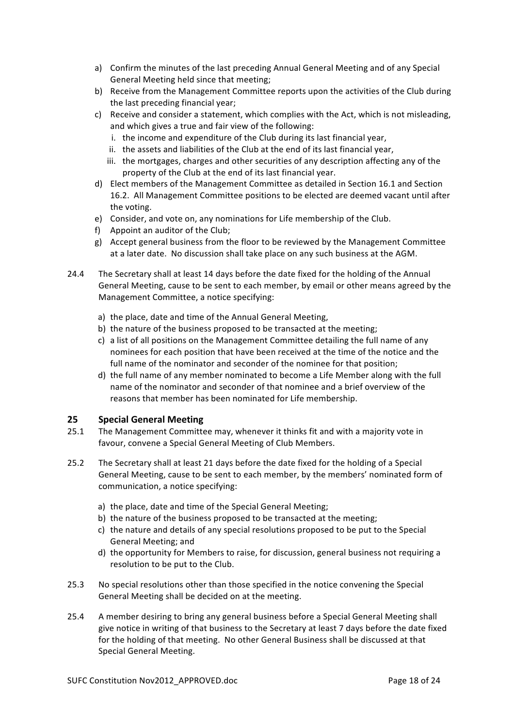- a) Confirm the minutes of the last preceding Annual General Meeting and of any Special General Meeting held since that meeting;
- b) Receive from the Management Committee reports upon the activities of the Club during the last preceding financial year;
- c) Receive and consider a statement, which complies with the Act, which is not misleading, and which gives a true and fair view of the following:
	- i. the income and expenditure of the Club during its last financial year,
	- ii. the assets and liabilities of the Club at the end of its last financial vear.
	- iii. the mortgages, charges and other securities of any description affecting any of the property of the Club at the end of its last financial year.
- d) Elect members of the Management Committee as detailed in Section 16.1 and Section 16.2. All Management Committee positions to be elected are deemed vacant until after the voting.
- e) Consider, and vote on, any nominations for Life membership of the Club.
- f) Appoint an auditor of the Club;
- $g$ ) Accept general business from the floor to be reviewed by the Management Committee at a later date. No discussion shall take place on any such business at the AGM.
- 24.4 The Secretary shall at least 14 days before the date fixed for the holding of the Annual General Meeting, cause to be sent to each member, by email or other means agreed by the Management Committee, a notice specifying:
	- a) the place, date and time of the Annual General Meeting.
	- b) the nature of the business proposed to be transacted at the meeting;
	- c) a list of all positions on the Management Committee detailing the full name of any nominees for each position that have been received at the time of the notice and the full name of the nominator and seconder of the nominee for that position;
	- d) the full name of any member nominated to become a Life Member along with the full name of the nominator and seconder of that nominee and a brief overview of the reasons that member has been nominated for Life membership.

## **25 Special General Meeting**

- 25.1 The Management Committee may, whenever it thinks fit and with a majority vote in favour, convene a Special General Meeting of Club Members.
- 25.2 The Secretary shall at least 21 days before the date fixed for the holding of a Special General Meeting, cause to be sent to each member, by the members' nominated form of communication, a notice specifying:
	- a) the place, date and time of the Special General Meeting;
	- b) the nature of the business proposed to be transacted at the meeting;
	- c) the nature and details of any special resolutions proposed to be put to the Special General Meeting; and
	- d) the opportunity for Members to raise, for discussion, general business not requiring a resolution to be put to the Club.
- 25.3 No special resolutions other than those specified in the notice convening the Special General Meeting shall be decided on at the meeting.
- 25.4 A member desiring to bring any general business before a Special General Meeting shall give notice in writing of that business to the Secretary at least 7 days before the date fixed for the holding of that meeting. No other General Business shall be discussed at that Special General Meeting.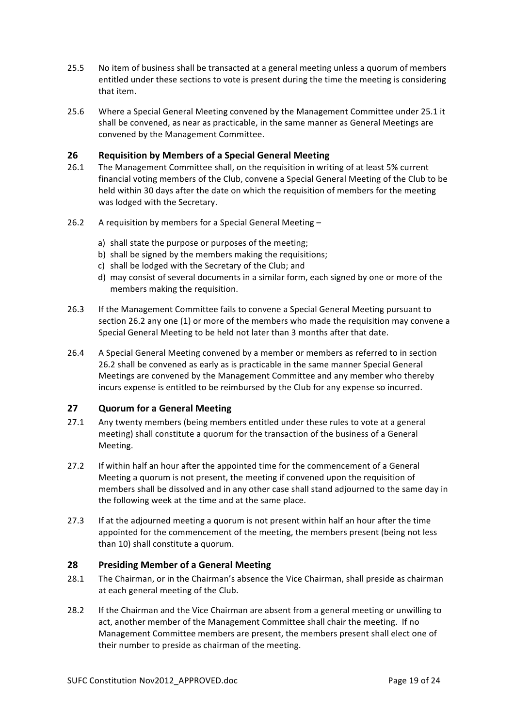- 25.5 No item of business shall be transacted at a general meeting unless a quorum of members entitled under these sections to vote is present during the time the meeting is considering that item.
- 25.6 Where a Special General Meeting convened by the Management Committee under 25.1 it shall be convened, as near as practicable, in the same manner as General Meetings are convened by the Management Committee.

# **26 • Requisition by Members of a Special General Meeting**<br>26.1 • The Management Committee shall, on the requisition in writ

- The Management Committee shall, on the requisition in writing of at least 5% current financial voting members of the Club, convene a Special General Meeting of the Club to be held within 30 days after the date on which the requisition of members for the meeting was lodged with the Secretary.
- 26.2 A requisition by members for a Special General Meeting  $$ 
	- a) shall state the purpose or purposes of the meeting;
	- b) shall be signed by the members making the requisitions;
	- c) shall be lodged with the Secretary of the Club; and
	- d) may consist of several documents in a similar form, each signed by one or more of the members making the requisition.
- 26.3 If the Management Committee fails to convene a Special General Meeting pursuant to section 26.2 any one (1) or more of the members who made the requisition may convene a Special General Meeting to be held not later than 3 months after that date.
- 26.4 A Special General Meeting convened by a member or members as referred to in section 26.2 shall be convened as early as is practicable in the same manner Special General Meetings are convened by the Management Committee and any member who thereby incurs expense is entitled to be reimbursed by the Club for any expense so incurred.

## **27 Quorum for a General Meeting**

- 27.1 Any twenty members (being members entitled under these rules to vote at a general meeting) shall constitute a quorum for the transaction of the business of a General Meeting.
- 27.2 If within half an hour after the appointed time for the commencement of a General Meeting a quorum is not present, the meeting if convened upon the requisition of members shall be dissolved and in any other case shall stand adjourned to the same day in the following week at the time and at the same place.
- 27.3 If at the adjourned meeting a quorum is not present within half an hour after the time appointed for the commencement of the meeting, the members present (being not less than 10) shall constitute a quorum.

## **28 Presiding Member of a General Meeting**

- 28.1 The Chairman, or in the Chairman's absence the Vice Chairman, shall preside as chairman at each general meeting of the Club.
- 28.2 If the Chairman and the Vice Chairman are absent from a general meeting or unwilling to act, another member of the Management Committee shall chair the meeting. If no Management Committee members are present, the members present shall elect one of their number to preside as chairman of the meeting.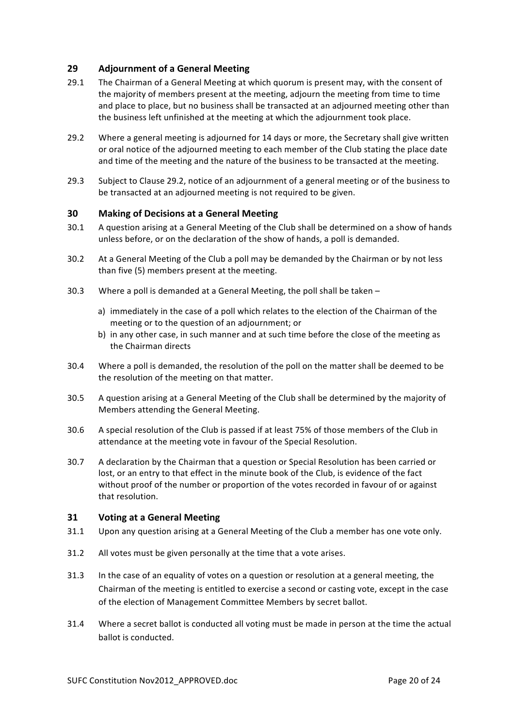## **29 Adjournment of a General Meeting**

- 29.1 The Chairman of a General Meeting at which quorum is present may, with the consent of the majority of members present at the meeting, adjourn the meeting from time to time and place to place, but no business shall be transacted at an adjourned meeting other than the business left unfinished at the meeting at which the adjournment took place.
- 29.2 Where a general meeting is adjourned for 14 days or more, the Secretary shall give written or oral notice of the adiourned meeting to each member of the Club stating the place date and time of the meeting and the nature of the business to be transacted at the meeting.
- 29.3 Subject to Clause 29.2, notice of an adjournment of a general meeting or of the business to be transacted at an adjourned meeting is not required to be given.

## **30 Making of Decisions at a General Meeting**

- 30.1 A question arising at a General Meeting of the Club shall be determined on a show of hands unless before, or on the declaration of the show of hands, a poll is demanded.
- 30.2 At a General Meeting of the Club a poll may be demanded by the Chairman or by not less than five (5) members present at the meeting.
- 30.3 Where a poll is demanded at a General Meeting, the poll shall be taken  $$ 
	- a) immediately in the case of a poll which relates to the election of the Chairman of the meeting or to the question of an adjournment; or
	- b) in any other case, in such manner and at such time before the close of the meeting as the Chairman directs
- 30.4 Where a poll is demanded, the resolution of the poll on the matter shall be deemed to be the resolution of the meeting on that matter.
- 30.5 A question arising at a General Meeting of the Club shall be determined by the majority of Members attending the General Meeting.
- 30.6 A special resolution of the Club is passed if at least 75% of those members of the Club in attendance at the meeting vote in favour of the Special Resolution.
- 30.7 A declaration by the Chairman that a question or Special Resolution has been carried or lost, or an entry to that effect in the minute book of the Club, is evidence of the fact without proof of the number or proportion of the votes recorded in favour of or against that resolution.

#### **31 Voting at a General Meeting**

- 31.1 Upon any question arising at a General Meeting of the Club a member has one vote only.
- 31.2 All votes must be given personally at the time that a vote arises.
- 31.3 In the case of an equality of votes on a question or resolution at a general meeting, the Chairman of the meeting is entitled to exercise a second or casting vote, except in the case of the election of Management Committee Members by secret ballot.
- 31.4 Where a secret ballot is conducted all voting must be made in person at the time the actual ballot is conducted.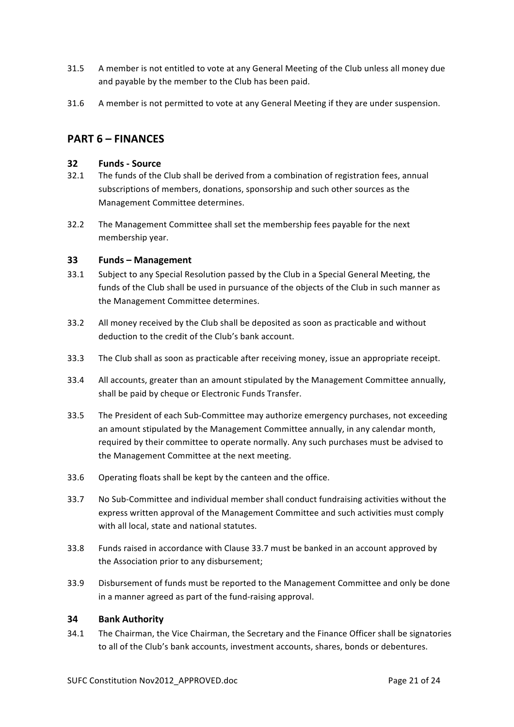- 31.5 A member is not entitled to vote at any General Meeting of the Club unless all money due and payable by the member to the Club has been paid.
- 31.6 A member is not permitted to vote at any General Meeting if they are under suspension.

## **PART 6 – FINANCES**

## **32 Funds - Source**

- 32.1 The funds of the Club shall be derived from a combination of registration fees, annual subscriptions of members, donations, sponsorship and such other sources as the Management Committee determines.
- 32.2 The Management Committee shall set the membership fees payable for the next membership year.

## **33 Funds – Management**

- 33.1 Subject to any Special Resolution passed by the Club in a Special General Meeting, the funds of the Club shall be used in pursuance of the objects of the Club in such manner as the Management Committee determines.
- 33.2 All money received by the Club shall be deposited as soon as practicable and without deduction to the credit of the Club's bank account.
- 33.3 The Club shall as soon as practicable after receiving money, issue an appropriate receipt.
- 33.4 All accounts, greater than an amount stipulated by the Management Committee annually, shall be paid by cheque or Electronic Funds Transfer.
- 33.5 The President of each Sub-Committee may authorize emergency purchases, not exceeding an amount stipulated by the Management Committee annually, in any calendar month, required by their committee to operate normally. Any such purchases must be advised to the Management Committee at the next meeting.
- 33.6 Operating floats shall be kept by the canteen and the office.
- 33.7 No Sub-Committee and individual member shall conduct fundraising activities without the express written approval of the Management Committee and such activities must comply with all local, state and national statutes.
- 33.8 Funds raised in accordance with Clause 33.7 must be banked in an account approved by the Association prior to any disbursement;
- 33.9 Disbursement of funds must be reported to the Management Committee and only be done in a manner agreed as part of the fund-raising approval.

## **34 Bank Authority**

34.1 The Chairman, the Vice Chairman, the Secretary and the Finance Officer shall be signatories to all of the Club's bank accounts, investment accounts, shares, bonds or debentures.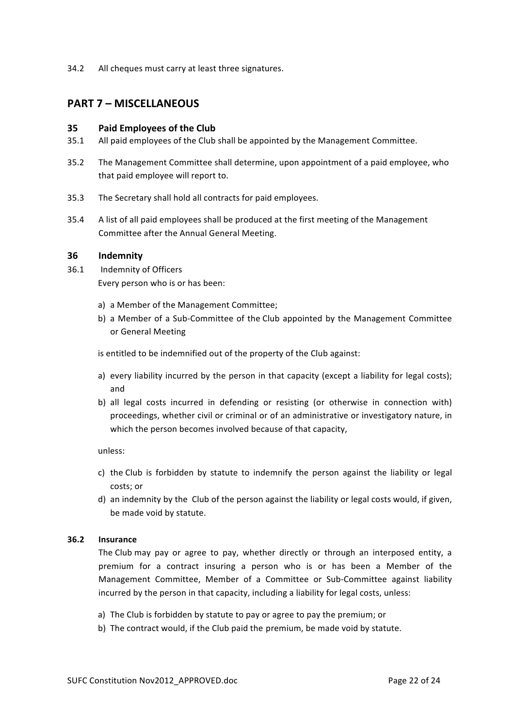34.2 All cheques must carry at least three signatures.

## **PART 7 – MISCELLANEOUS**

## **35 Paid Employees of the Club**

- 35.1 All paid employees of the Club shall be appointed by the Management Committee.
- 35.2 The Management Committee shall determine, upon appointment of a paid employee, who that paid employee will report to.
- 35.3 The Secretary shall hold all contracts for paid employees.
- 35.4 A list of all paid employees shall be produced at the first meeting of the Management Committee after the Annual General Meeting.

#### **36 Indemnity**

- 36.1 Indemnity of Officers Every person who is or has been:
	- a) a Member of the Management Committee;
	- b) a Member of a Sub-Committee of the Club appointed by the Management Committee or General Meeting

is entitled to be indemnified out of the property of the Club against:

- a) every liability incurred by the person in that capacity (except a liability for legal costs); and
- b) all legal costs incurred in defending or resisting (or otherwise in connection with) proceedings, whether civil or criminal or of an administrative or investigatory nature, in which the person becomes involved because of that capacity,

unless:

- c) the Club is forbidden by statute to indemnify the person against the liability or legal costs; or
- d) an indemnity by the Club of the person against the liability or legal costs would, if given, be made void by statute.

## **36.2 Insurance**

The Club may pay or agree to pay, whether directly or through an interposed entity, a premium for a contract insuring a person who is or has been a Member of the Management Committee, Member of a Committee or Sub-Committee against liability incurred by the person in that capacity, including a liability for legal costs, unless:

- a) The Club is forbidden by statute to pay or agree to pay the premium; or
- b) The contract would, if the Club paid the premium, be made void by statute.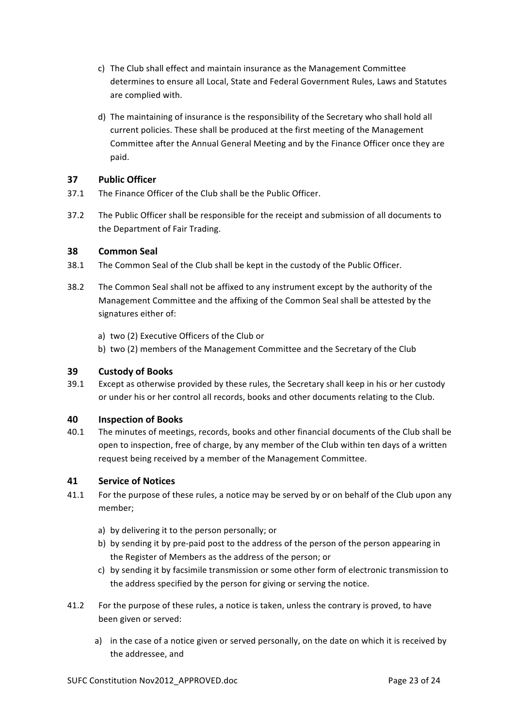- c) The Club shall effect and maintain insurance as the Management Committee determines to ensure all Local, State and Federal Government Rules, Laws and Statutes are complied with.
- d) The maintaining of insurance is the responsibility of the Secretary who shall hold all current policies. These shall be produced at the first meeting of the Management Committee after the Annual General Meeting and by the Finance Officer once they are paid.

## **37 Public Officer**

- 37.1 The Finance Officer of the Club shall be the Public Officer.
- 37.2 The Public Officer shall be responsible for the receipt and submission of all documents to the Department of Fair Trading.

## **38 Common Seal**

- 38.1 The Common Seal of the Club shall be kept in the custody of the Public Officer.
- 38.2 The Common Seal shall not be affixed to any instrument except by the authority of the Management Committee and the affixing of the Common Seal shall be attested by the signatures either of:
	- a) two (2) Executive Officers of the Club or
	- b) two (2) members of the Management Committee and the Secretary of the Club

## **39 Custody of Books**

39.1 Except as otherwise provided by these rules, the Secretary shall keep in his or her custody or under his or her control all records, books and other documents relating to the Club.

## **40 Inspection of Books**

40.1 The minutes of meetings, records, books and other financial documents of the Club shall be open to inspection, free of charge, by any member of the Club within ten days of a written request being received by a member of the Management Committee.

## **41 Service of Notices**

- 41.1 For the purpose of these rules, a notice may be served by or on behalf of the Club upon any member;
	- a) by delivering it to the person personally; or
	- b) by sending it by pre-paid post to the address of the person of the person appearing in the Register of Members as the address of the person; or
	- c) by sending it by facsimile transmission or some other form of electronic transmission to the address specified by the person for giving or serving the notice.
- 41.2 For the purpose of these rules, a notice is taken, unless the contrary is proved, to have been given or served:
	- a) in the case of a notice given or served personally, on the date on which it is received by the addressee, and